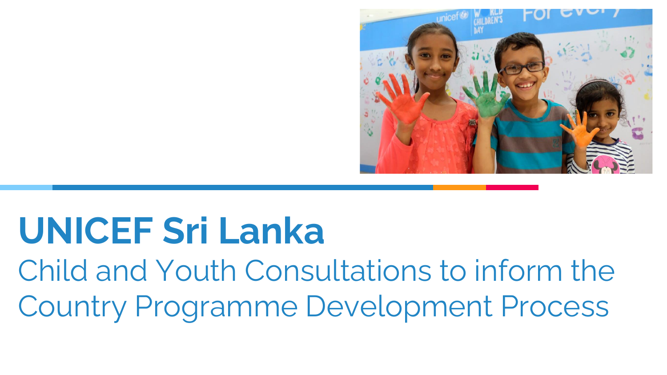

# **UNICEF Sri Lanka**

Child and Youth Consultations to inform the Country Programme Development Process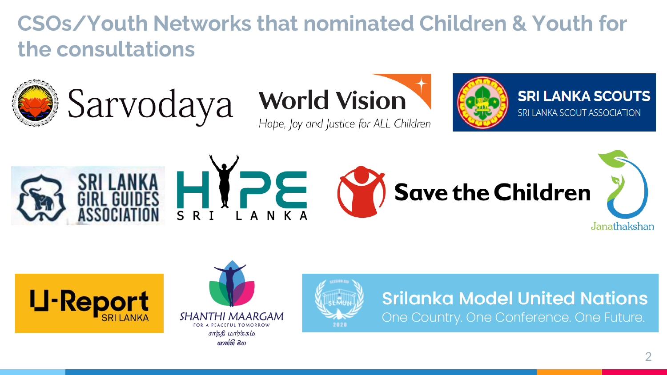### **CSOs/Youth Networks that nominated Children & Youth for the consultations**







Hope, loy and lustice for ALL Children



**SRI LANKA SCOUTS** SRI LANKA SCOUT ASSOCIATION





SHANTHI MAARGAM சாந்தி மார்க்கம் ശാച്ചി മഗ



#### **Srilanka Model United Nations** One Country. One Conference. One Future.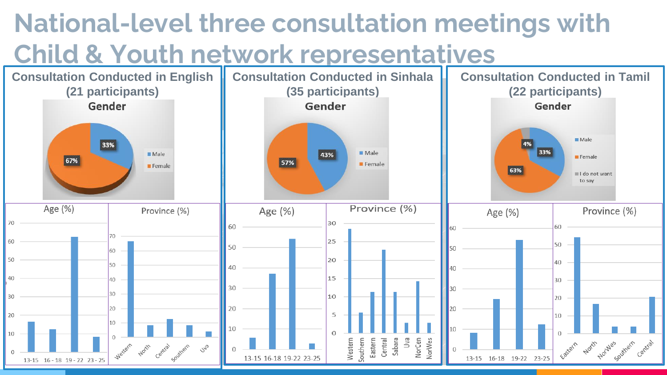## **National-level three consultation meetings with Child & Youth network representatives**

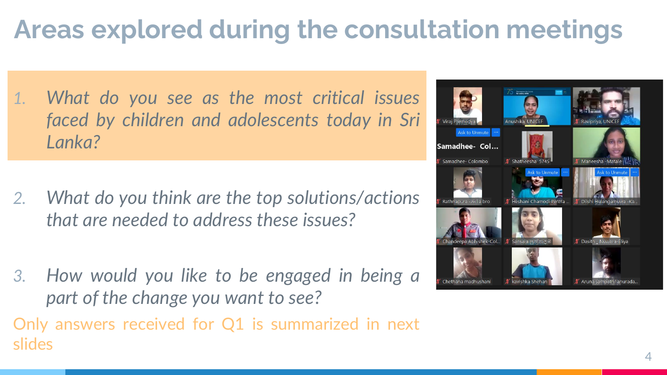## **Areas explored during the consultation meetings**

- *1. What do you see as the most critical issues faced by children and adolescents today in Sri Lanka?*
- *2. What do you think are the top solutions/actions that are needed to address these issues?*
- *3. How would you like to be engaged in being a part of the change you want to see?* Only answers received for Q1 is summarized in next slides

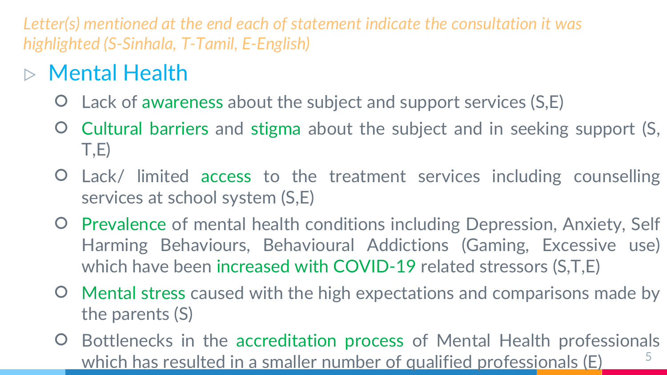*Letter(s) mentioned at the end each of statement indicate the consultation it was highlighted (S-Sinhala, T-Tamil, E-English)*

## ▷ Mental Health

- Lack of awareness about the subject and support services (S,E)
- Cultural barriers and stigma about the subject and in seeking support (S, T,E)
- Lack/ limited access to the treatment services including counselling services at school system (S,E)
- Prevalence of mental health conditions including Depression, Anxiety, Self Harming Behaviours, Behavioural Addictions (Gaming, Excessive use) which have been increased with COVID-19 related stressors (S,T,E)
- Mental stress caused with the high expectations and comparisons made by the parents (S)
- Bottlenecks in the accreditation process of Mental Health professionals which has resulted in a smaller number of qualified professionals (E)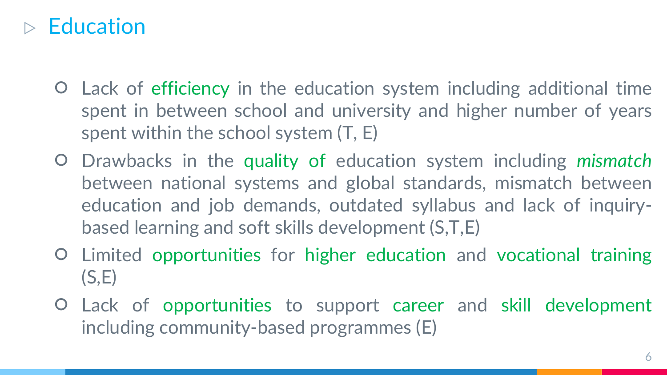### ▷ Education

- Lack of efficiency in the education system including additional time spent in between school and university and higher number of years spent within the school system (T, E)
- Drawbacks in the quality of education system including *mismatch* between national systems and global standards, mismatch between education and job demands, outdated syllabus and lack of inquirybased learning and soft skills development (S,T,E)
- Limited opportunities for higher education and vocational training  $(S,E)$
- Lack of opportunities to support career and skill development including community-based programmes (E)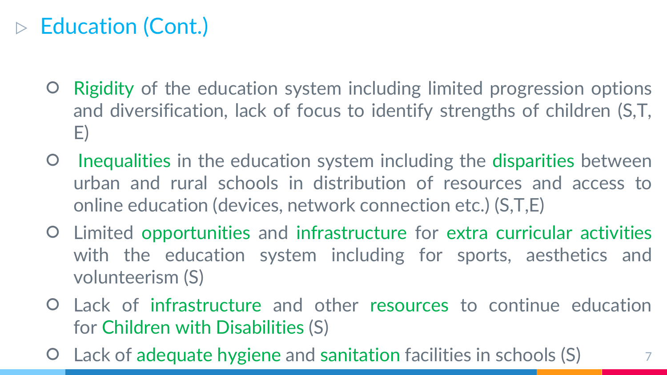## $\triangleright$  Education (Cont.)

- Rigidity of the education system including limited progression options and diversification, lack of focus to identify strengths of children (S,T, E)
- Inequalities in the education system including the disparities between urban and rural schools in distribution of resources and access to online education (devices, network connection etc.) (S,T,E)
- Limited opportunities and infrastructure for extra curricular activities with the education system including for sports, aesthetics and volunteerism (S)
- Lack of infrastructure and other resources to continue education for Children with Disabilities (S)
- Lack of adequate hygiene and sanitation facilities in schools (S) <sup>7</sup>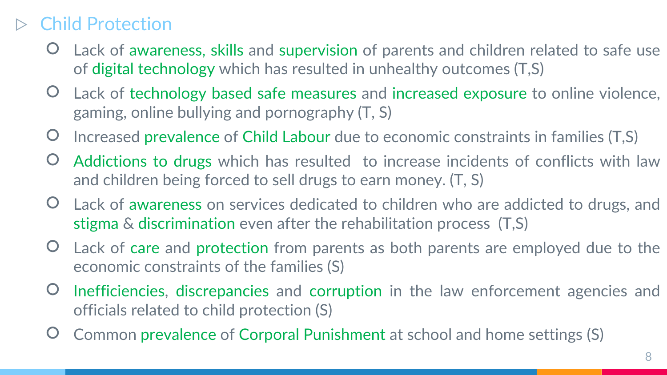#### **Child Protection**

- Lack of awareness, skills and supervision of parents and children related to safe use of digital technology which has resulted in unhealthy outcomes (T,S)
- Lack of technology based safe measures and increased exposure to online violence, gaming, online bullying and pornography (T, S)
- Increased prevalence of Child Labour due to economic constraints in families (T,S)
- Addictions to drugs which has resulted to increase incidents of conflicts with law and children being forced to sell drugs to earn money. (T, S)
- Lack of awareness on services dedicated to children who are addicted to drugs, and stigma & discrimination even after the rehabilitation process (T,S)
- Lack of care and protection from parents as both parents are employed due to the economic constraints of the families (S)
- Inefficiencies, discrepancies and corruption in the law enforcement agencies and officials related to child protection (S)
- Common prevalence of Corporal Punishment at school and home settings (S)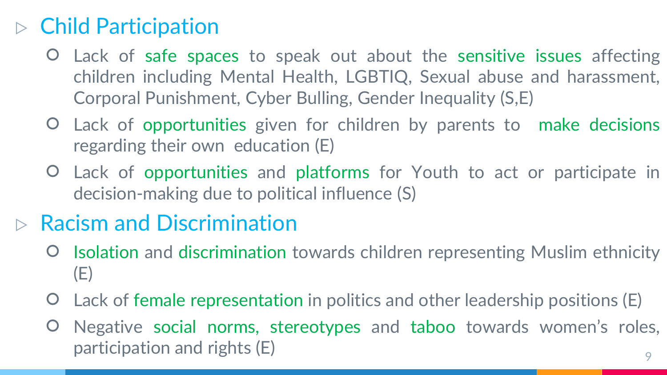## $\triangleright$  Child Participation

- Lack of safe spaces to speak out about the sensitive issues affecting children including Mental Health, LGBTIQ, Sexual abuse and harassment, Corporal Punishment, Cyber Bulling, Gender Inequality (S,E)
- Lack of opportunities given for children by parents to make decisions regarding their own education (E)
- Lack of opportunities and platforms for Youth to act or participate in decision-making due to political influence (S)

## ▷ Racism and Discrimination

- Isolation and discrimination towards children representing Muslim ethnicity (E)
- Lack of female representation in politics and other leadership positions (E)
- Negative social norms, stereotypes and taboo towards women's roles,  $\mathsf{partic}$  participation and rights (E)  $\mathsf{P}$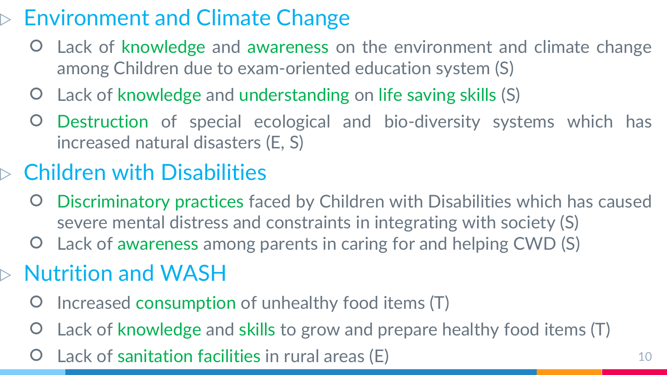## $\triangleright$  Environment and Climate Change

- Lack of knowledge and awareness on the environment and climate change among Children due to exam-oriented education system (S)
- Lack of knowledge and understanding on life saving skills (S)
- Destruction of special ecological and bio-diversity systems which has increased natural disasters (E, S)

## $\triangleright$  Children with Disabilities

- Discriminatory practices faced by Children with Disabilities which has caused severe mental distress and constraints in integrating with society (S)
- Lack of awareness among parents in caring for and helping CWD (S)

## $\triangleright$  Nutrition and WASH

- Increased consumption of unhealthy food items (T)
- Lack of knowledge and skills to grow and prepare healthy food items (T)
- **O** Lack of sanitation facilities in rural areas (E)  $\qquad \qquad 10$